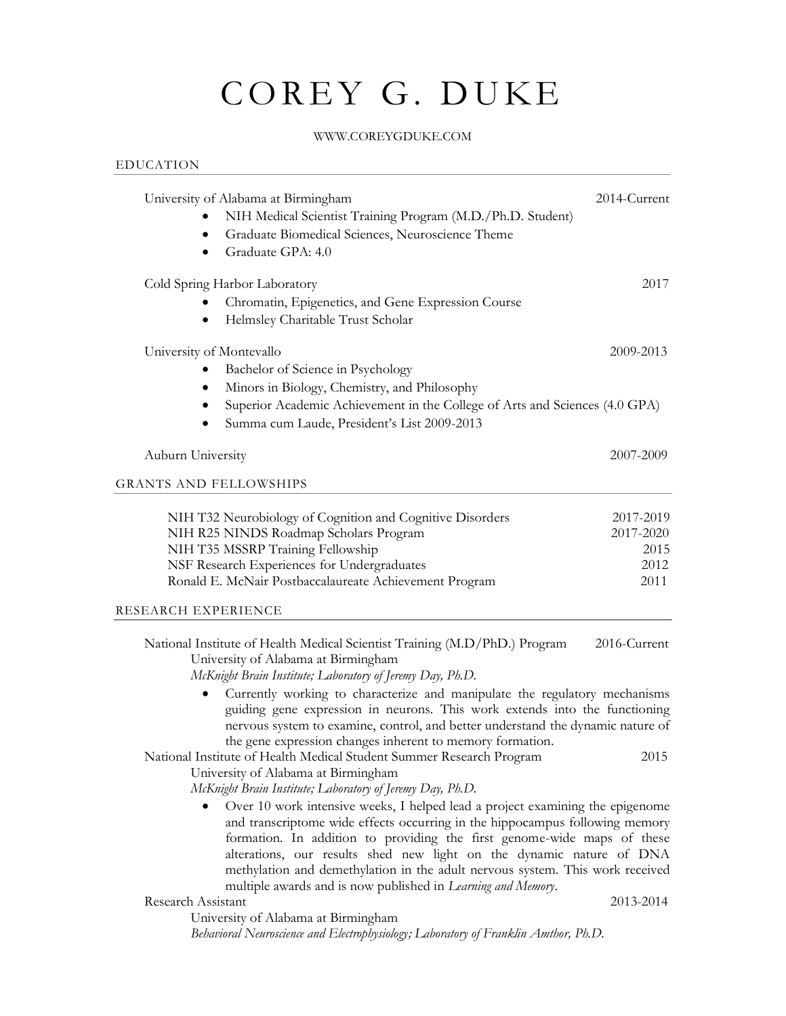# COREY G. DUKE

#### WWW.COREYGDUKE.COM

## University of Alabama at Birmingham 2014-Current • NIH Medical Scientist Training Program (M.D./Ph.D. Student) • Graduate Biomedical Sciences, Neuroscience Theme • Graduate GPA: 4.0 Cold Spring Harbor Laboratory 2017 • Chromatin, Epigenetics, and Gene Expression Course • Helmsley Charitable Trust Scholar University of Montevallo 2009-2013 • Bachelor of Science in Psychology • Minors in Biology, Chemistry, and Philosophy • Superior Academic Achievement in the College of Arts and Sciences (4.0 GPA) • Summa cum Laude, President's List 2009-2013 Auburn University 2007-2009 GRANTS AND FELLOWSHIPS NIH T32 Neurobiology of Cognition and Cognitive Disorders 2017-2019 NIH R25 NINDS Roadmap Scholars Program 2017-2020 NIH T35 MSSRP Training Fellowship 2015 NSF Research Experiences for Undergraduates 2012 Ronald E. McNair Postbaccalaureate Achievement Program 2011 RESEARCH EXPERIENCE National Institute of Health Medical Scientist Training (M.D/PhD.) Program 2016-Current University of Alabama at Birmingham

*McKnight Brain Institute; Laboratory of Jeremy Day, Ph.D.* 

• Currently working to characterize and manipulate the regulatory mechanisms guiding gene expression in neurons. This work extends into the functioning nervous system to examine, control, and better understand the dynamic nature of the gene expression changes inherent to memory formation.

National Institute of Health Medical Student Summer Research Program 2015 University of Alabama at Birmingham

*McKnight Brain Institute; Laboratory of Jeremy Day, Ph.D.* 

• Over 10 work intensive weeks, I helped lead a project examining the epigenome and transcriptome wide effects occurring in the hippocampus following memory formation. In addition to providing the first genome-wide maps of these alterations, our results shed new light on the dynamic nature of DNA methylation and demethylation in the adult nervous system. This work received multiple awards and is now published in *Learning and Memory*.

#### Research Assistant 2013-2014

EDUCATION

University of Alabama at Birmingham

*Behavioral Neuroscience and Electrophysiology; Laboratory of Franklin Amthor, Ph.D.*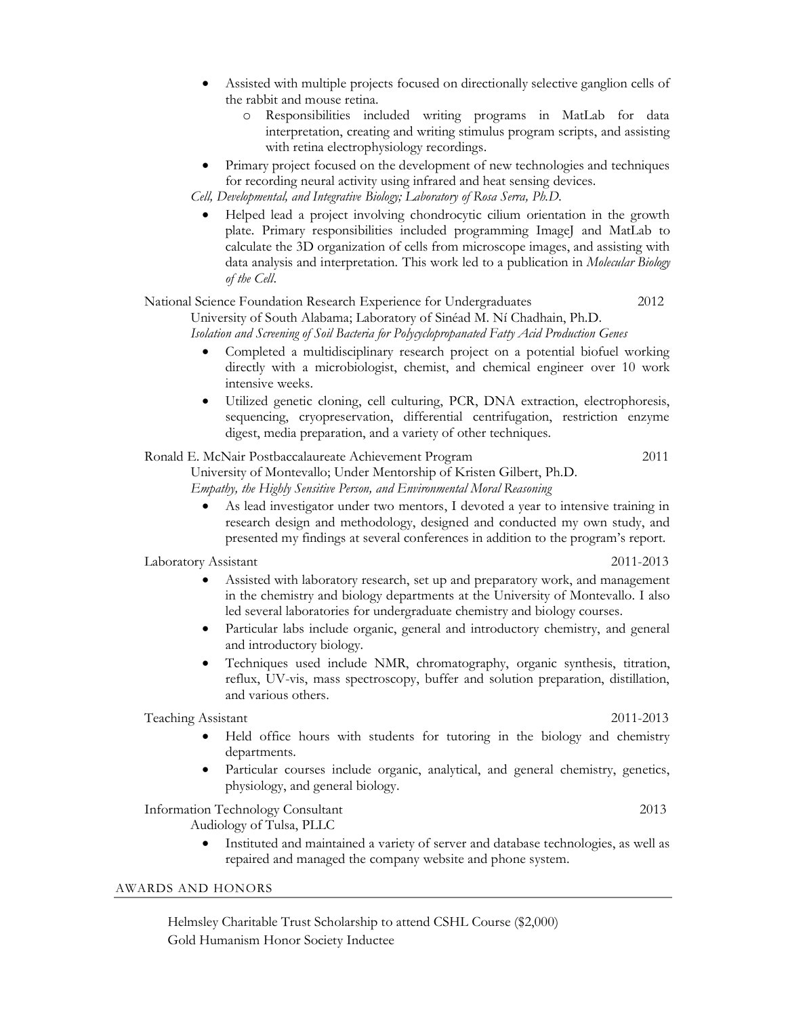- Assisted with multiple projects focused on directionally selective ganglion cells of the rabbit and mouse retina.
	- o Responsibilities included writing programs in MatLab for data interpretation, creating and writing stimulus program scripts, and assisting with retina electrophysiology recordings.
- Primary project focused on the development of new technologies and techniques for recording neural activity using infrared and heat sensing devices.

*Cell, Developmental, and Integrative Biology; Laboratory of Rosa Serra, Ph.D.*

• Helped lead a project involving chondrocytic cilium orientation in the growth plate. Primary responsibilities included programming ImageJ and MatLab to calculate the 3D organization of cells from microscope images, and assisting with data analysis and interpretation. This work led to a publication in *Molecular Biology of the Cell*.

#### National Science Foundation Research Experience for Undergraduates 2012 University of South Alabama; Laboratory of Sinéad M. Ní Chadhain, Ph.D.

*Isolation and Screening of Soil Bacteria for Polycyclopropanated Fatty Acid Production Genes* 

- Completed a multidisciplinary research project on a potential biofuel working directly with a microbiologist, chemist, and chemical engineer over 10 work intensive weeks.
- Utilized genetic cloning, cell culturing, PCR, DNA extraction, electrophoresis, sequencing, cryopreservation, differential centrifugation, restriction enzyme digest, media preparation, and a variety of other techniques.

### Ronald E. McNair Postbaccalaureate Achievement Program 2011

University of Montevallo; Under Mentorship of Kristen Gilbert, Ph.D. *Empathy, the Highly Sensitive Person, and Environmental Moral Reasoning*

• As lead investigator under two mentors, I devoted a year to intensive training in research design and methodology, designed and conducted my own study, and presented my findings at several conferences in addition to the program's report.

Laboratory Assistant 2011-2013

- Assisted with laboratory research, set up and preparatory work, and management in the chemistry and biology departments at the University of Montevallo. I also led several laboratories for undergraduate chemistry and biology courses.
- Particular labs include organic, general and introductory chemistry, and general and introductory biology.
- Techniques used include NMR, chromatography, organic synthesis, titration, reflux, UV-vis, mass spectroscopy, buffer and solution preparation, distillation, and various others.

Teaching Assistant 2011-2013

- Held office hours with students for tutoring in the biology and chemistry departments.
- Particular courses include organic, analytical, and general chemistry, genetics, physiology, and general biology.

Information Technology Consultant 2013

Audiology of Tulsa, PLLC

• Instituted and maintained a variety of server and database technologies, as well as repaired and managed the company website and phone system.

#### AWARDS AND HONORS

Helmsley Charitable Trust Scholarship to attend CSHL Course (\$2,000) Gold Humanism Honor Society Inductee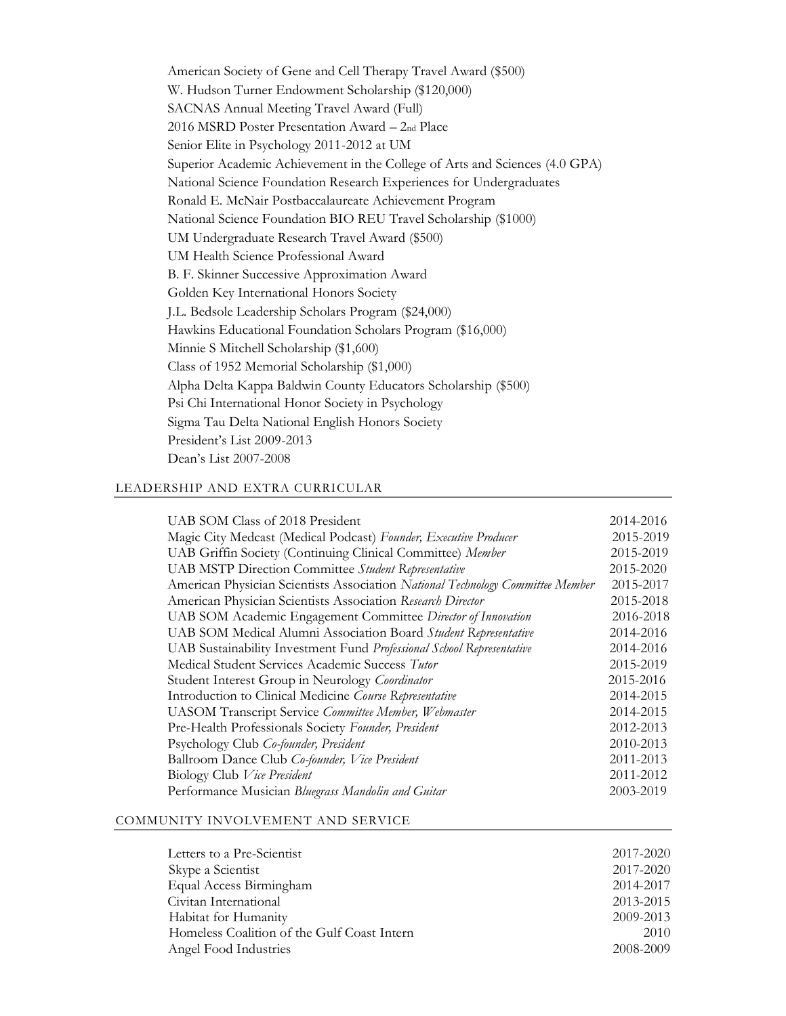American Society of Gene and Cell Therapy Travel Award (\$500) W. Hudson Turner Endowment Scholarship (\$120,000) SACNAS Annual Meeting Travel Award (Full) 2016 MSRD Poster Presentation Award – 2nd Place Senior Elite in Psychology 2011-2012 at UM Superior Academic Achievement in the College of Arts and Sciences (4.0 GPA) National Science Foundation Research Experiences for Undergraduates Ronald E. McNair Postbaccalaureate Achievement Program National Science Foundation BIO REU Travel Scholarship (\$1000) UM Undergraduate Research Travel Award (\$500) UM Health Science Professional Award B. F. Skinner Successive Approximation Award Golden Key International Honors Society J.L. Bedsole Leadership Scholars Program (\$24,000) Hawkins Educational Foundation Scholars Program (\$16,000) Minnie S Mitchell Scholarship (\$1,600) Class of 1952 Memorial Scholarship (\$1,000) Alpha Delta Kappa Baldwin County Educators Scholarship (\$500) Psi Chi International Honor Society in Psychology Sigma Tau Delta National English Honors Society President's List 2009-2013 Dean's List 2007-2008

#### LEADERSHIP AND EXTRA CURRICULAR

| UAB SOM Class of 2018 President                                                | 2014-2016 |
|--------------------------------------------------------------------------------|-----------|
| Magic City Medcast (Medical Podcast) Founder, Executive Producer               | 2015-2019 |
| UAB Griffin Society (Continuing Clinical Committee) Member                     | 2015-2019 |
| <b>UAB MSTP Direction Committee Student Representative</b>                     | 2015-2020 |
| American Physician Scientists Association National Technology Committee Member | 2015-2017 |
| American Physician Scientists Association Research Director                    | 2015-2018 |
| UAB SOM Academic Engagement Committee Director of Innovation                   | 2016-2018 |
| UAB SOM Medical Alumni Association Board Student Representative                | 2014-2016 |
| UAB Sustainability Investment Fund Professional School Representative          | 2014-2016 |
| Medical Student Services Academic Success Tutor                                | 2015-2019 |
| Student Interest Group in Neurology Coordinator                                | 2015-2016 |
| Introduction to Clinical Medicine Course Representative                        | 2014-2015 |
| <b>UASOM Transcript Service Committee Member, Webmaster</b>                    | 2014-2015 |
| Pre-Health Professionals Society Founder, President                            | 2012-2013 |
| Psychology Club Co-founder, President                                          | 2010-2013 |
| Ballroom Dance Club Co-founder, Vice President                                 | 2011-2013 |
| Biology Club Vice President                                                    | 2011-2012 |
| Performance Musician Bluegrass Mandolin and Guitar                             | 2003-2019 |
|                                                                                |           |

#### COMMUNITY INVOLVEMENT AND SERVICE

| 2017-2020 |
|-----------|
| 2017-2020 |
| 2014-2017 |
| 2013-2015 |
| 2009-2013 |
| 2010      |
| 2008-2009 |
|           |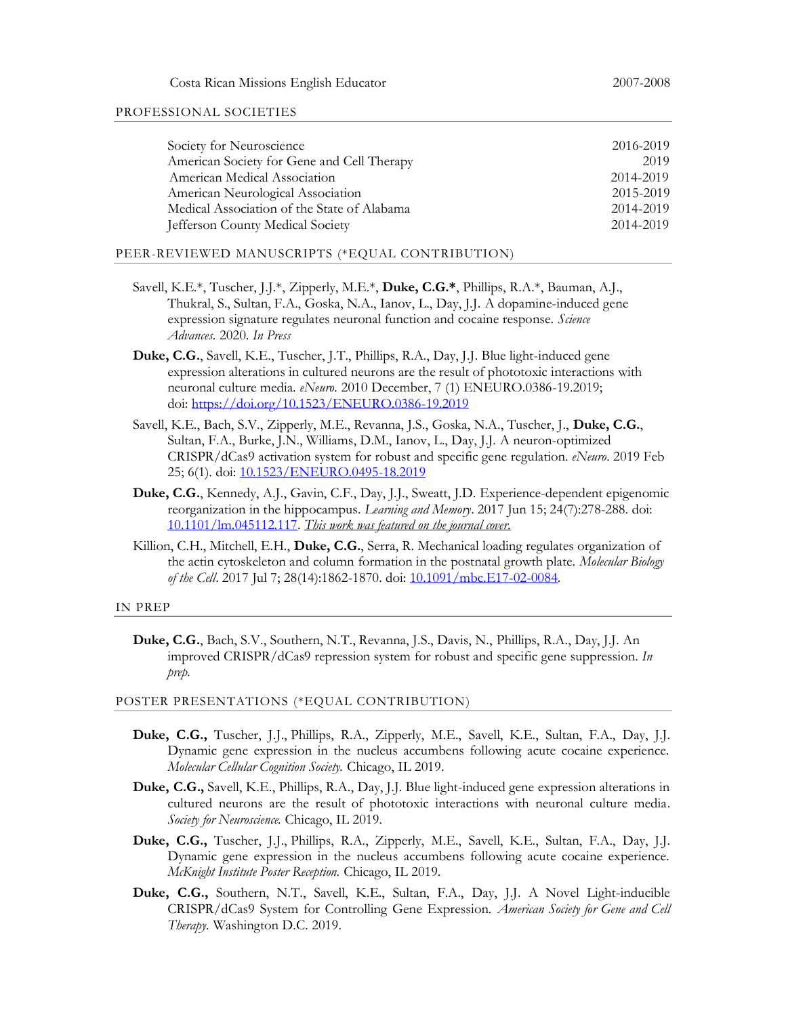#### PROFESSIONAL SOCIETIES

| Society for Neuroscience                    | 2016-2019 |
|---------------------------------------------|-----------|
| American Society for Gene and Cell Therapy  | 2019      |
| American Medical Association                | 2014-2019 |
| American Neurological Association           | 2015-2019 |
| Medical Association of the State of Alabama | 2014-2019 |
| Jefferson County Medical Society            | 2014-2019 |

#### PEER-REVIEWED MANUSCRIPTS (\*EQUAL CONTRIBUTION)

- Savell, K.E.\*, Tuscher, J.J.\*, Zipperly, M.E.\*, **Duke, C.G.\***, Phillips, R.A.\*, Bauman, A.J., Thukral, S., Sultan, F.A., Goska, N.A., Ianov, L., Day, J.J. A dopamine-induced gene expression signature regulates neuronal function and cocaine response. *Science Advances.* 2020. *In Press*
- **Duke, C.G.**, Savell, K.E., Tuscher, J.T., Phillips, R.A., Day, J.J. Blue light-induced gene expression alterations in cultured neurons are the result of phototoxic interactions with neuronal culture media. *eNeuro.* 2010 December, 7 (1) ENEURO.0386-19.2019; doi: <https://doi.org/10.1523/ENEURO.0386-19.2019>
- Savell, K.E., Bach, S.V., Zipperly, M.E., Revanna, J.S., Goska, N.A., Tuscher, J., **Duke, C.G.**, Sultan, F.A., Burke, J.N., Williams, D.M., Ianov, L., Day, J.J. A neuron-optimized CRISPR/dCas9 activation system for robust and specific gene regulation. *eNeuro*. 2019 Feb 25; 6(1). doi[: 10.1523/ENEURO.0495-18.2019](https://doi.org/10.1523/ENEURO.0495-18.2019)
- **Duke, C.G.**, Kennedy, A.J., Gavin, C.F., Day, J.J., Sweatt, J.D. Experience-dependent epigenomic reorganization in the hippocampus. *Learning and Memory*. 2017 Jun 15; 24(7):278-288. doi: [10.1101/lm.045112.117.](https://doi.org/10.1101/lm.045112.117) *This work was featured on the journal cover.*
- Killion, C.H., Mitchell, E.H., **Duke, C.G.**, Serra, R. Mechanical loading regulates organization of the actin cytoskeleton and column formation in the postnatal growth plate. *Molecular Biology of the Cell*. 2017 Jul 7; 28(14):1862-1870. doi: [10.1091/mbc.E17-02-0084.](https://doi.org/10.1091/mbc.E17-02-0084)

#### IN PREP

**Duke, C.G.**, Bach, S.V., Southern, N.T., Revanna, J.S., Davis, N., Phillips, R.A., Day, J.J. An improved CRISPR/dCas9 repression system for robust and specific gene suppression. *In prep.*

#### POSTER PRESENTATIONS (\*EQUAL CONTRIBUTION)

- **Duke, C.G.,** Tuscher, J.J., Phillips, R.A., Zipperly, M.E., Savell, K.E., Sultan, F.A., Day, J.J. Dynamic gene expression in the nucleus accumbens following acute cocaine experience. *Molecular Cellular Cognition Society.* Chicago, IL 2019.
- **Duke, C.G.,** Savell, K.E., Phillips, R.A., Day, J.J. Blue light-induced gene expression alterations in cultured neurons are the result of phototoxic interactions with neuronal culture media. *Society for Neuroscience.* Chicago, IL 2019.
- **Duke, C.G.,** Tuscher, J.J., Phillips, R.A., Zipperly, M.E., Savell, K.E., Sultan, F.A., Day, J.J. Dynamic gene expression in the nucleus accumbens following acute cocaine experience. *McKnight Institute Poster Reception.* Chicago, IL 2019.
- **Duke, C.G.,** Southern, N.T., Savell, K.E., Sultan, F.A., Day, J.J. A Novel Light-inducible CRISPR/dCas9 System for Controlling Gene Expression. *American Society for Gene and Cell Therapy.* Washington D.C. 2019.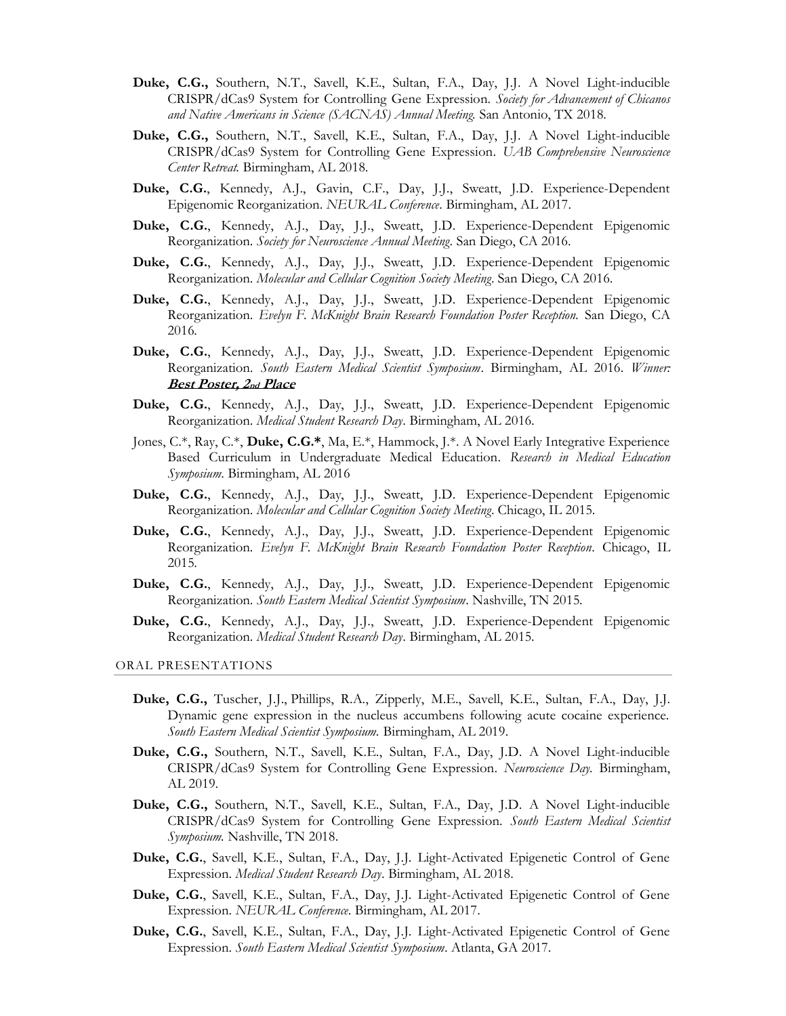- **Duke, C.G.,** Southern, N.T., Savell, K.E., Sultan, F.A., Day, J.J. A Novel Light-inducible CRISPR/dCas9 System for Controlling Gene Expression. *Society for Advancement of Chicanos and Native Americans in Science (SACNAS) Annual Meeting.* San Antonio, TX 2018.
- **Duke, C.G.,** Southern, N.T., Savell, K.E., Sultan, F.A., Day, J.J. A Novel Light-inducible CRISPR/dCas9 System for Controlling Gene Expression. *UAB Comprehensive Neuroscience Center Retreat.* Birmingham, AL 2018.
- **Duke, C.G.**, Kennedy, A.J., Gavin, C.F., Day, J.J., Sweatt, J.D. Experience-Dependent Epigenomic Reorganization. *NEURAL Conference*. Birmingham, AL 2017.
- **Duke, C.G.**, Kennedy, A.J., Day, J.J., Sweatt, J.D. Experience-Dependent Epigenomic Reorganization. *Society for Neuroscience Annual Meeting*. San Diego, CA 2016.
- **Duke, C.G.**, Kennedy, A.J., Day, J.J., Sweatt, J.D. Experience-Dependent Epigenomic Reorganization. *Molecular and Cellular Cognition Society Meeting*. San Diego, CA 2016.
- **Duke, C.G.**, Kennedy, A.J., Day, J.J., Sweatt, J.D. Experience-Dependent Epigenomic Reorganization. *Evelyn F. McKnight Brain Research Foundation Poster Reception.* San Diego, CA 2016.
- **Duke, C.G.**, Kennedy, A.J., Day, J.J., Sweatt, J.D. Experience-Dependent Epigenomic Reorganization. *South Eastern Medical Scientist Symposium*. Birmingham, AL 2016. *Winner:*  **Best Poster, 2nd Place**
- **Duke, C.G.**, Kennedy, A.J., Day, J.J., Sweatt, J.D. Experience-Dependent Epigenomic Reorganization. *Medical Student Research Day*. Birmingham, AL 2016.
- Jones, C.\*, Ray, C.\*, **Duke, C.G.\***, Ma, E.\*, Hammock, J.\*. A Novel Early Integrative Experience Based Curriculum in Undergraduate Medical Education. *Research in Medical Education Symposium*. Birmingham, AL 2016
- **Duke, C.G.**, Kennedy, A.J., Day, J.J., Sweatt, J.D. Experience-Dependent Epigenomic Reorganization. *Molecular and Cellular Cognition Society Meeting*. Chicago, IL 2015.
- **Duke, C.G.**, Kennedy, A.J., Day, J.J., Sweatt, J.D. Experience-Dependent Epigenomic Reorganization. *Evelyn F. McKnight Brain Research Foundation Poster Reception*. Chicago, IL 2015.
- **Duke, C.G.**, Kennedy, A.J., Day, J.J., Sweatt, J.D. Experience-Dependent Epigenomic Reorganization. *South Eastern Medical Scientist Symposium*. Nashville, TN 2015.
- **Duke, C.G.**, Kennedy, A.J., Day, J.J., Sweatt, J.D. Experience-Dependent Epigenomic Reorganization. *Medical Student Research Day*. Birmingham, AL 2015.

ORAL PRESENTATIONS

- **Duke, C.G.,** Tuscher, J.J., Phillips, R.A., Zipperly, M.E., Savell, K.E., Sultan, F.A., Day, J.J. Dynamic gene expression in the nucleus accumbens following acute cocaine experience. *South Eastern Medical Scientist Symposium.* Birmingham, AL 2019.
- **Duke, C.G.,** Southern, N.T., Savell, K.E., Sultan, F.A., Day, J.D. A Novel Light-inducible CRISPR/dCas9 System for Controlling Gene Expression. *Neuroscience Day.* Birmingham, AL 2019.
- **Duke, C.G.,** Southern, N.T., Savell, K.E., Sultan, F.A., Day, J.D. A Novel Light-inducible CRISPR/dCas9 System for Controlling Gene Expression. *South Eastern Medical Scientist Symposium.* Nashville, TN 2018.
- **Duke, C.G.**, Savell, K.E., Sultan, F.A., Day, J.J. Light-Activated Epigenetic Control of Gene Expression. *Medical Student Research Day*. Birmingham, AL 2018.
- **Duke, C.G.**, Savell, K.E., Sultan, F.A., Day, J.J. Light-Activated Epigenetic Control of Gene Expression. *NEURAL Conference*. Birmingham, AL 2017.
- **Duke, C.G.**, Savell, K.E., Sultan, F.A., Day, J.J. Light-Activated Epigenetic Control of Gene Expression. *South Eastern Medical Scientist Symposium*. Atlanta, GA 2017.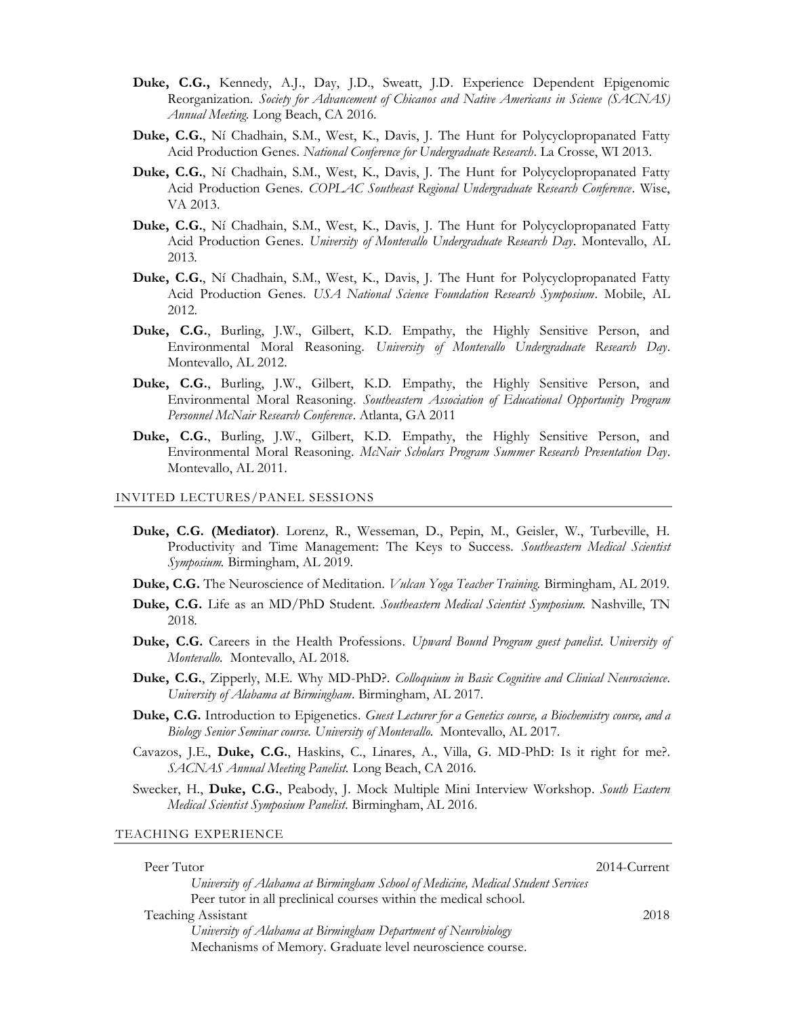- **Duke, C.G.,** Kennedy, A.J., Day, J.D., Sweatt, J.D. Experience Dependent Epigenomic Reorganization. *Society for Advancement of Chicanos and Native Americans in Science (SACNAS) Annual Meeting.* Long Beach, CA 2016.
- **Duke, C.G.**, Ní Chadhain, S.M., West, K., Davis, J. The Hunt for Polycyclopropanated Fatty Acid Production Genes. *National Conference for Undergraduate Research*. La Crosse, WI 2013.
- **Duke, C.G.**, Ní Chadhain, S.M., West, K., Davis, J. The Hunt for Polycyclopropanated Fatty Acid Production Genes. *COPLAC Southeast Regional Undergraduate Research Conference*. Wise, VA 2013.
- **Duke, C.G.**, Ní Chadhain, S.M., West, K., Davis, J. The Hunt for Polycyclopropanated Fatty Acid Production Genes. *University of Montevallo Undergraduate Research Day*. Montevallo, AL 2013.
- **Duke, C.G.**, Ní Chadhain, S.M., West, K., Davis, J. The Hunt for Polycyclopropanated Fatty Acid Production Genes. *USA National Science Foundation Research Symposium*. Mobile, AL 2012.
- **Duke, C.G.**, Burling, J.W., Gilbert, K.D. Empathy, the Highly Sensitive Person, and Environmental Moral Reasoning. *University of Montevallo Undergraduate Research Day*. Montevallo, AL 2012.
- **Duke, C.G.**, Burling, J.W., Gilbert, K.D. Empathy, the Highly Sensitive Person, and Environmental Moral Reasoning. *Southeastern Association of Educational Opportunity Program Personnel McNair Research Conference*. Atlanta, GA 2011
- **Duke, C.G.**, Burling, J.W., Gilbert, K.D. Empathy, the Highly Sensitive Person, and Environmental Moral Reasoning. *McNair Scholars Program Summer Research Presentation Day*. Montevallo, AL 2011.

#### INVITED LECTURES/PANEL SESSIONS

- **Duke, C.G. (Mediator)**. Lorenz, R., Wesseman, D., Pepin, M., Geisler, W., Turbeville, H. Productivity and Time Management: The Keys to Success. *Southeastern Medical Scientist Symposium.* Birmingham, AL 2019.
- **Duke, C.G.** The Neuroscience of Meditation. *Vulcan Yoga Teacher Training.* Birmingham, AL 2019.
- **Duke, C.G.** Life as an MD/PhD Student. *Southeastern Medical Scientist Symposium.* Nashville, TN 2018.
- **Duke, C.G.** Careers in the Health Professions. *Upward Bound Program guest panelist. University of Montevallo.* Montevallo, AL 2018.
- **Duke, C.G.**, Zipperly, M.E. Why MD-PhD?. *Colloquium in Basic Cognitive and Clinical Neuroscience. University of Alabama at Birmingham*. Birmingham, AL 2017.
- **Duke, C.G.** Introduction to Epigenetics. *Guest Lecturer for a Genetics course, a Biochemistry course, and a Biology Senior Seminar course. University of Montevallo.* Montevallo, AL 2017.
- Cavazos, J.E., **Duke, C.G.**, Haskins, C., Linares, A., Villa, G. MD-PhD: Is it right for me?. *SACNAS Annual Meeting Panelist.* Long Beach, CA 2016.
- Swecker, H., **Duke, C.G.**, Peabody, J. Mock Multiple Mini Interview Workshop. *South Eastern Medical Scientist Symposium Panelist.* Birmingham, AL 2016.

TEACHING EXPERIENCE

| Peer Tutor                                                                       | 2014-Current |
|----------------------------------------------------------------------------------|--------------|
| University of Alabama at Birmingham School of Medicine, Medical Student Services |              |
| Peer tutor in all preclinical courses within the medical school.                 |              |
| <b>Teaching Assistant</b>                                                        | 2018         |
| University of Alabama at Birmingham Department of Neurobiology                   |              |
| Mechanisms of Memory. Graduate level neuroscience course.                        |              |